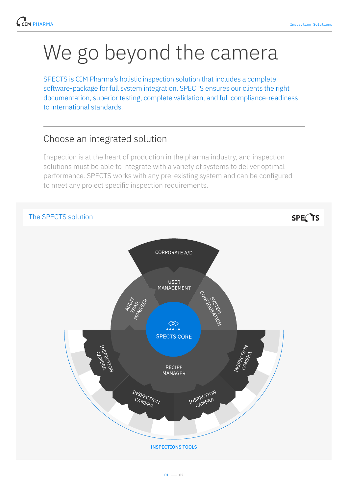## We go beyond the camera

SPECTS is CIM Pharma's holistic inspection solution that includes a complete software-package for full system integration. SPECTS ensures our clients the right documentation, superior testing, complete validation, and full compliance-readiness to international standards.

## Choose an integrated solution

Inspection is at the heart of production in the pharma industry, and inspection solutions must be able to integrate with a variety of systems to deliver optimal performance. SPECTS works with any pre-existing system and can be configured to meet any project specific inspection requirements.



SPECTS



 $01 - 02$